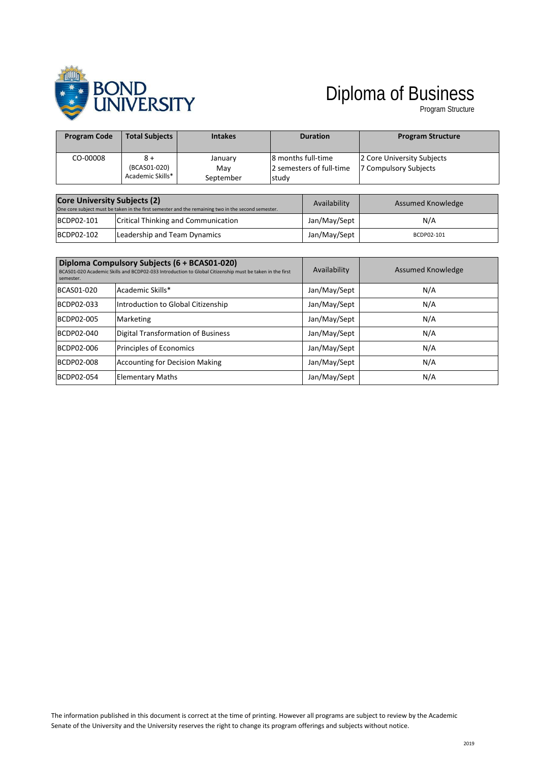

## Diploma of Business

Program Structure

| <b>Program Code</b>                 | <b>Total Subjects</b>                   | <b>Intakes</b>                                                                                     |                                                         | <b>Duration</b> | <b>Program Structure</b>                            |
|-------------------------------------|-----------------------------------------|----------------------------------------------------------------------------------------------------|---------------------------------------------------------|-----------------|-----------------------------------------------------|
| CO-00008                            | 8 +<br>(BCAS01-020)<br>Academic Skills* | January<br>Mav<br>September                                                                        | 8 months full-time<br>2 semesters of full-time<br>study |                 | 2 Core University Subjects<br>7 Compulsory Subjects |
| <b>Core University Subjects (2)</b> |                                         | One core subject must be taken in the first semester and the remaining two in the second semester. |                                                         | Availability    | Assumed Knowledge                                   |
| BCDP02-101                          | Critical Thinking and Communication     |                                                                                                    |                                                         | Jan/May/Sept    | N/A                                                 |

BCDP02-102 Leadership and Team Dynamics and American propositional state and BCDP02-101

| semester.  | Diploma Compulsory Subjects (6 + BCAS01-020)<br>BCAS01-020 Academic Skills and BCDP02-033 Introduction to Global Citizenship must be taken in the first | Availability | Assumed Knowledge |
|------------|---------------------------------------------------------------------------------------------------------------------------------------------------------|--------------|-------------------|
| BCAS01-020 | Academic Skills*                                                                                                                                        | Jan/May/Sept | N/A               |
| BCDP02-033 | Introduction to Global Citizenship                                                                                                                      | Jan/May/Sept | N/A               |
| BCDP02-005 | <b>Marketing</b>                                                                                                                                        | Jan/May/Sept | N/A               |
| BCDP02-040 | Digital Transformation of Business                                                                                                                      | Jan/May/Sept | N/A               |
| BCDP02-006 | Principles of Economics                                                                                                                                 | Jan/May/Sept | N/A               |
| BCDP02-008 | <b>Accounting for Decision Making</b>                                                                                                                   | Jan/May/Sept | N/A               |
| BCDP02-054 | <b>Elementary Maths</b>                                                                                                                                 | Jan/May/Sept | N/A               |